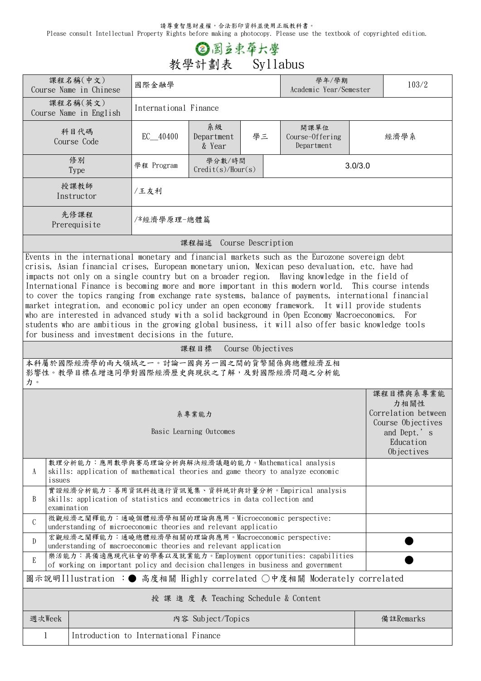請尊重智慧財產權,合法影印資料並使用正版教科書。

Please consult Intellectual Property Rights before making a photocopy. Please use the textbook of copyrighted edition.

## **③图立束草六學**<br>教學計劃表 Syllabus

|                                                                                                                                                                                                                                                                                                                                                                                                                                                                                                                                                                                                                                                                                                                                                                                                                                                                                             | 課程名稱(中文)<br>Course Name in Chinese                                                                                                     | 國際金融學                                                |                                       |    | 學年/學期<br>Academic Year/Semester                                                                                                                    | 103/2 |                                                                                           |  |  |  |
|---------------------------------------------------------------------------------------------------------------------------------------------------------------------------------------------------------------------------------------------------------------------------------------------------------------------------------------------------------------------------------------------------------------------------------------------------------------------------------------------------------------------------------------------------------------------------------------------------------------------------------------------------------------------------------------------------------------------------------------------------------------------------------------------------------------------------------------------------------------------------------------------|----------------------------------------------------------------------------------------------------------------------------------------|------------------------------------------------------|---------------------------------------|----|----------------------------------------------------------------------------------------------------------------------------------------------------|-------|-------------------------------------------------------------------------------------------|--|--|--|
|                                                                                                                                                                                                                                                                                                                                                                                                                                                                                                                                                                                                                                                                                                                                                                                                                                                                                             | 課程名稱(英文)<br>Course Name in English                                                                                                     | International Finance                                |                                       |    |                                                                                                                                                    |       |                                                                                           |  |  |  |
|                                                                                                                                                                                                                                                                                                                                                                                                                                                                                                                                                                                                                                                                                                                                                                                                                                                                                             | 科目代碼<br>Course Code                                                                                                                    | $EC$ $40400$                                         | 系級<br>Department<br>& Year            | 學三 | 開課單位<br>Course-Offering<br>Department                                                                                                              |       | 經濟學系                                                                                      |  |  |  |
|                                                                                                                                                                                                                                                                                                                                                                                                                                                                                                                                                                                                                                                                                                                                                                                                                                                                                             | 修別<br><b>Type</b>                                                                                                                      | 學分數/時間<br>學程 Program<br>3.0/3.0<br>Credit(s)/Hour(s) |                                       |    |                                                                                                                                                    |       |                                                                                           |  |  |  |
|                                                                                                                                                                                                                                                                                                                                                                                                                                                                                                                                                                                                                                                                                                                                                                                                                                                                                             | 授課教師<br>Instructor                                                                                                                     | /王友利                                                 |                                       |    |                                                                                                                                                    |       |                                                                                           |  |  |  |
|                                                                                                                                                                                                                                                                                                                                                                                                                                                                                                                                                                                                                                                                                                                                                                                                                                                                                             | 先修課程<br>Prerequisite                                                                                                                   | /*經濟學原理-總體篇                                          |                                       |    |                                                                                                                                                    |       |                                                                                           |  |  |  |
|                                                                                                                                                                                                                                                                                                                                                                                                                                                                                                                                                                                                                                                                                                                                                                                                                                                                                             |                                                                                                                                        |                                                      | 課程描述 Course Description               |    |                                                                                                                                                    |       |                                                                                           |  |  |  |
| Events in the international monetary and financial markets such as the Eurozone sovereign debt<br>crisis, Asian financial crises, European monetary union, Mexican peso devaluation, etc. have had<br>impacts not only on a single country but on a broader region. Having knowledge in the field of<br>International Finance is becoming more and more important in this modern world. This course intends<br>to cover the topics ranging from exchange rate systems, balance of payments, international financial<br>market integration, and economic policy under an open economy framework. It will provide students<br>who are interested in advanced study with a solid background in Open Economy Macroeconomics. For<br>students who are ambitious in the growing global business, it will also offer basic knowledge tools<br>for business and investment decisions in the future. |                                                                                                                                        |                                                      |                                       |    |                                                                                                                                                    |       |                                                                                           |  |  |  |
| Course Objectives<br>課程目標                                                                                                                                                                                                                                                                                                                                                                                                                                                                                                                                                                                                                                                                                                                                                                                                                                                                   |                                                                                                                                        |                                                      |                                       |    |                                                                                                                                                    |       |                                                                                           |  |  |  |
| 本科屬於國際經濟學的兩大領域之一。討論一國與另一國之間的貨幣關係與總體經濟互相<br>影響性。教學目標在增進同學對國際經濟歷史與現狀之了解,及對國際經濟問題之分析能<br>力。                                                                                                                                                                                                                                                                                                                                                                                                                                                                                                                                                                                                                                                                                                                                                                                                    |                                                                                                                                        |                                                      |                                       |    |                                                                                                                                                    |       |                                                                                           |  |  |  |
|                                                                                                                                                                                                                                                                                                                                                                                                                                                                                                                                                                                                                                                                                                                                                                                                                                                                                             |                                                                                                                                        |                                                      |                                       |    |                                                                                                                                                    |       |                                                                                           |  |  |  |
|                                                                                                                                                                                                                                                                                                                                                                                                                                                                                                                                                                                                                                                                                                                                                                                                                                                                                             |                                                                                                                                        |                                                      | 系專業能力<br>Basic Learning Outcomes      |    |                                                                                                                                                    |       | 課程目標與系專業能<br>力相關性<br>Correlation between<br>Course Objectives<br>and Dept.'s<br>Education |  |  |  |
| A<br>issues                                                                                                                                                                                                                                                                                                                                                                                                                                                                                                                                                                                                                                                                                                                                                                                                                                                                                 | 數理分析能力:應用數學與賽局理論分析與解決經濟議題的能力。Mathematical analysis<br>skills: application of mathematical theories and game theory to analyze economic |                                                      |                                       |    |                                                                                                                                                    |       | Objectives                                                                                |  |  |  |
| B<br>examination                                                                                                                                                                                                                                                                                                                                                                                                                                                                                                                                                                                                                                                                                                                                                                                                                                                                            | skills: application of statistics and econometrics in data collection and                                                              |                                                      |                                       |    | 實證經濟分析能力:善用資訊科技進行資訊蒐集、資料統計與計量分析。Empirical analysis                                                                                                 |       |                                                                                           |  |  |  |
| $\mathcal{C}$                                                                                                                                                                                                                                                                                                                                                                                                                                                                                                                                                                                                                                                                                                                                                                                                                                                                               | 微觀經濟之闡釋能力:通曉個體經濟學相關的理論與應用。Microeconomic perspective:<br>understanding of microeconomic theories and relevant applicatio                |                                                      |                                       |    |                                                                                                                                                    |       |                                                                                           |  |  |  |
| D                                                                                                                                                                                                                                                                                                                                                                                                                                                                                                                                                                                                                                                                                                                                                                                                                                                                                           | 宏觀經濟之闡釋能力:通曉總體經濟學相關的理論與應用。Macroeconomic perspective:<br>understanding of macroeconomic theories and relevant application               |                                                      |                                       |    |                                                                                                                                                    |       |                                                                                           |  |  |  |
| E                                                                                                                                                                                                                                                                                                                                                                                                                                                                                                                                                                                                                                                                                                                                                                                                                                                                                           |                                                                                                                                        |                                                      |                                       |    | 樂活能力:具備適應現代社會的學養以及就業能力。Employment opportunities: capabilities<br>of working on important policy and decision challenges in business and government |       |                                                                                           |  |  |  |
|                                                                                                                                                                                                                                                                                                                                                                                                                                                                                                                                                                                                                                                                                                                                                                                                                                                                                             |                                                                                                                                        |                                                      |                                       |    | 圖示說明Illustration :● 高度相關 Highly correlated ○中度相關 Moderately correlated                                                                             |       |                                                                                           |  |  |  |
|                                                                                                                                                                                                                                                                                                                                                                                                                                                                                                                                                                                                                                                                                                                                                                                                                                                                                             |                                                                                                                                        |                                                      | 授 課 進 度 表 Teaching Schedule & Content |    |                                                                                                                                                    |       |                                                                                           |  |  |  |
| 週次Week                                                                                                                                                                                                                                                                                                                                                                                                                                                                                                                                                                                                                                                                                                                                                                                                                                                                                      |                                                                                                                                        |                                                      | 内容 Subject/Topics                     |    |                                                                                                                                                    |       | 備註Remarks                                                                                 |  |  |  |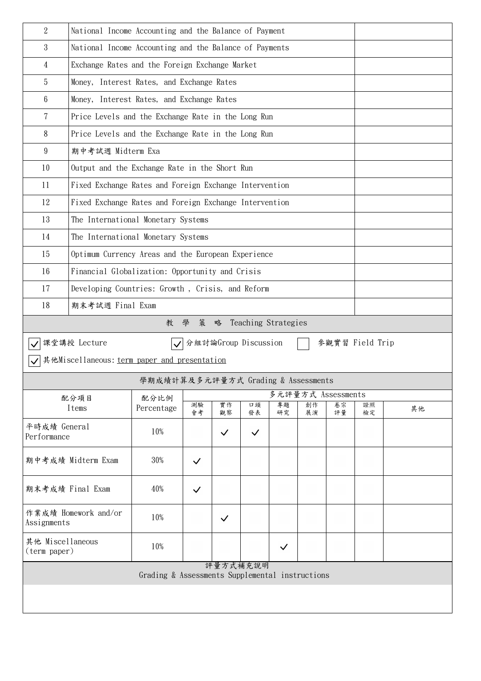| $\overline{2}$                     | National Income Accounting and the Balance of Payment  |                                                        |              |                      |              |                     |          |          |                 |    |  |  |
|------------------------------------|--------------------------------------------------------|--------------------------------------------------------|--------------|----------------------|--------------|---------------------|----------|----------|-----------------|----|--|--|
| 3                                  |                                                        | National Income Accounting and the Balance of Payments |              |                      |              |                     |          |          |                 |    |  |  |
| 4                                  | Exchange Rates and the Foreign Exchange Market         |                                                        |              |                      |              |                     |          |          |                 |    |  |  |
| 5                                  | Money, Interest Rates, and Exchange Rates              |                                                        |              |                      |              |                     |          |          |                 |    |  |  |
| 6                                  | Money, Interest Rates, and Exchange Rates              |                                                        |              |                      |              |                     |          |          |                 |    |  |  |
| $\overline{7}$                     | Price Levels and the Exchange Rate in the Long Run     |                                                        |              |                      |              |                     |          |          |                 |    |  |  |
| 8                                  | Price Levels and the Exchange Rate in the Long Run     |                                                        |              |                      |              |                     |          |          |                 |    |  |  |
| 9                                  | 期中考試週 Midterm Exa                                      |                                                        |              |                      |              |                     |          |          |                 |    |  |  |
| 10                                 | Output and the Exchange Rate in the Short Run          |                                                        |              |                      |              |                     |          |          |                 |    |  |  |
| 11                                 | Fixed Exchange Rates and Foreign Exchange Intervention |                                                        |              |                      |              |                     |          |          |                 |    |  |  |
| 12                                 | Fixed Exchange Rates and Foreign Exchange Intervention |                                                        |              |                      |              |                     |          |          |                 |    |  |  |
| 13                                 | The International Monetary Systems                     |                                                        |              |                      |              |                     |          |          |                 |    |  |  |
| 14                                 | The International Monetary Systems                     |                                                        |              |                      |              |                     |          |          |                 |    |  |  |
| 15                                 | Optimum Currency Areas and the European Experience     |                                                        |              |                      |              |                     |          |          |                 |    |  |  |
| 16                                 | Financial Globalization: Opportunity and Crisis        |                                                        |              |                      |              |                     |          |          |                 |    |  |  |
| 17                                 | Developing Countries: Growth, Crisis, and Reform       |                                                        |              |                      |              |                     |          |          |                 |    |  |  |
| 18                                 | 期末考試週 Final Exam                                       |                                                        |              |                      |              |                     |          |          |                 |    |  |  |
|                                    |                                                        | 教                                                      | 學<br>策       | 略                    |              | Teaching Strategies |          |          |                 |    |  |  |
|                                    | 課堂講授 Lecture                                           | $\vert\blacktriangledown\vert$                         |              | 分組討論Group Discussion |              |                     |          |          | 參觀實習 Field Trip |    |  |  |
|                                    | 其他Miscellaneous: term paper and presentation           |                                                        |              |                      |              |                     |          |          |                 |    |  |  |
|                                    |                                                        | 學期成績計算及多元評量方式 Grading & Assessments                    |              |                      |              |                     |          |          |                 |    |  |  |
| 多元評量方式 Assessments<br>配分項目<br>配分比例 |                                                        |                                                        |              |                      |              |                     |          |          |                 |    |  |  |
|                                    | Items                                                  | Percentage                                             | 測驗<br>會考     | 實作<br>觀察             | 口頭<br>發表     | 專題<br>研究            | 創作<br>展演 | 卷宗<br>評量 | 證照<br>檢定        | 其他 |  |  |
| 平時成績 General<br>Performance        |                                                        | 10%                                                    |              | $\checkmark$         | $\checkmark$ |                     |          |          |                 |    |  |  |
| 期中考成績 Midterm Exam                 |                                                        | 30%                                                    | $\checkmark$ |                      |              |                     |          |          |                 |    |  |  |
| 期末考成績 Final Exam                   |                                                        | 40%                                                    | $\checkmark$ |                      |              |                     |          |          |                 |    |  |  |
|                                    |                                                        |                                                        |              |                      |              |                     |          |          |                 |    |  |  |
| Assignments                        | 作業成績 Homework and/or                                   | 10%                                                    |              | $\checkmark$         |              |                     |          |          |                 |    |  |  |
| 其他 Miscellaneous<br>(term paper)   |                                                        | 10%                                                    |              |                      |              | $\checkmark$        |          |          |                 |    |  |  |
|                                    |                                                        | Grading & Assessments Supplemental instructions        |              | 評量方式補充說明             |              |                     |          |          |                 |    |  |  |
|                                    |                                                        |                                                        |              |                      |              |                     |          |          |                 |    |  |  |